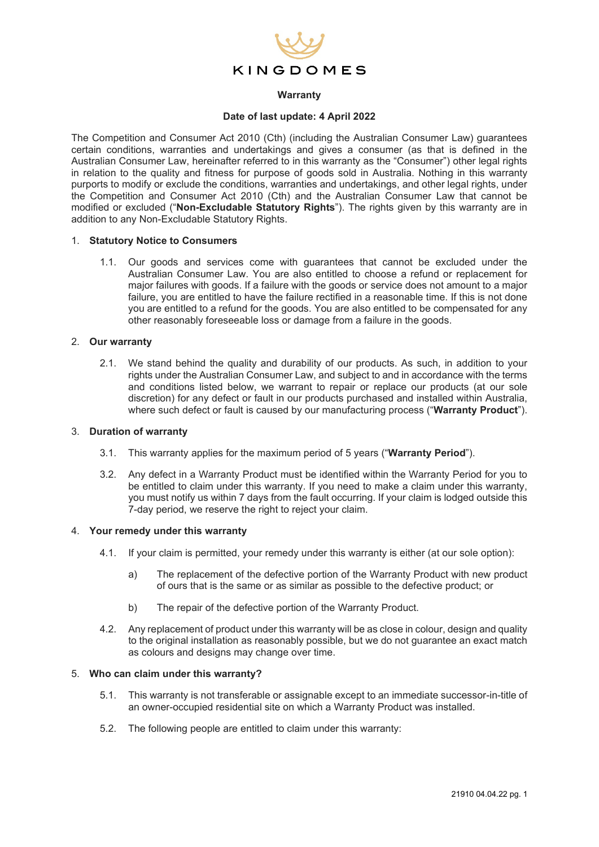

### **Warranty**

### **Date of last update: 4 April 2022**

The Competition and Consumer Act 2010 (Cth) (including the Australian Consumer Law) guarantees certain conditions, warranties and undertakings and gives a consumer (as that is defined in the Australian Consumer Law, hereinafter referred to in this warranty as the "Consumer") other legal rights in relation to the quality and fitness for purpose of goods sold in Australia. Nothing in this warranty purports to modify or exclude the conditions, warranties and undertakings, and other legal rights, under the Competition and Consumer Act 2010 (Cth) and the Australian Consumer Law that cannot be modified or excluded ("**Non-Excludable Statutory Rights**"). The rights given by this warranty are in addition to any Non-Excludable Statutory Rights.

### 1. **Statutory Notice to Consumers**

1.1. Our goods and services come with guarantees that cannot be excluded under the Australian Consumer Law. You are also entitled to choose a refund or replacement for major failures with goods. If a failure with the goods or service does not amount to a major failure, you are entitled to have the failure rectified in a reasonable time. If this is not done you are entitled to a refund for the goods. You are also entitled to be compensated for any other reasonably foreseeable loss or damage from a failure in the goods.

### 2. **Our warranty**

2.1. We stand behind the quality and durability of our products. As such, in addition to your rights under the Australian Consumer Law, and subject to and in accordance with the terms and conditions listed below, we warrant to repair or replace our products (at our sole discretion) for any defect or fault in our products purchased and installed within Australia, where such defect or fault is caused by our manufacturing process ("**Warranty Product**").

#### 3. **Duration of warranty**

- 3.1. This warranty applies for the maximum period of 5 years ("**Warranty Period**").
- 3.2. Any defect in a Warranty Product must be identified within the Warranty Period for you to be entitled to claim under this warranty. If you need to make a claim under this warranty, you must notify us within 7 days from the fault occurring. If your claim is lodged outside this 7-day period, we reserve the right to reject your claim.

### 4. **Your remedy under this warranty**

- 4.1. If your claim is permitted, your remedy under this warranty is either (at our sole option):
	- a) The replacement of the defective portion of the Warranty Product with new product of ours that is the same or as similar as possible to the defective product; or
	- b) The repair of the defective portion of the Warranty Product.
- 4.2. Any replacement of product under this warranty will be as close in colour, design and quality to the original installation as reasonably possible, but we do not guarantee an exact match as colours and designs may change over time.

### 5. **Who can claim under this warranty?**

- 5.1. This warranty is not transferable or assignable except to an immediate successor-in-title of an owner-occupied residential site on which a Warranty Product was installed.
- 5.2. The following people are entitled to claim under this warranty: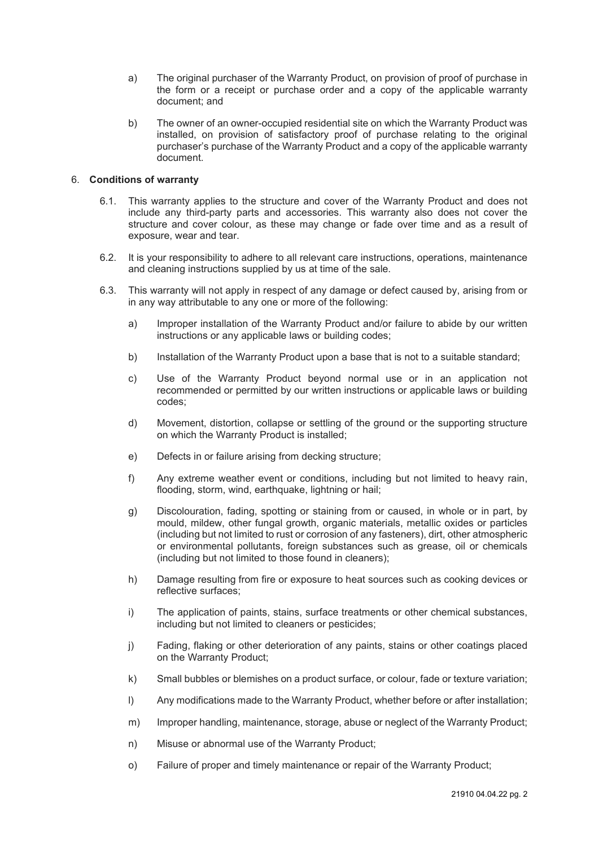- a) The original purchaser of the Warranty Product, on provision of proof of purchase in the form or a receipt or purchase order and a copy of the applicable warranty document; and
- b) The owner of an owner-occupied residential site on which the Warranty Product was installed, on provision of satisfactory proof of purchase relating to the original purchaser's purchase of the Warranty Product and a copy of the applicable warranty document.

### 6. **Conditions of warranty**

- 6.1. This warranty applies to the structure and cover of the Warranty Product and does not include any third-party parts and accessories. This warranty also does not cover the structure and cover colour, as these may change or fade over time and as a result of exposure, wear and tear.
- 6.2. It is your responsibility to adhere to all relevant care instructions, operations, maintenance and cleaning instructions supplied by us at time of the sale.
- 6.3. This warranty will not apply in respect of any damage or defect caused by, arising from or in any way attributable to any one or more of the following:
	- a) Improper installation of the Warranty Product and/or failure to abide by our written instructions or any applicable laws or building codes;
	- b) Installation of the Warranty Product upon a base that is not to a suitable standard;
	- c) Use of the Warranty Product beyond normal use or in an application not recommended or permitted by our written instructions or applicable laws or building codes;
	- d) Movement, distortion, collapse or settling of the ground or the supporting structure on which the Warranty Product is installed;
	- e) Defects in or failure arising from decking structure;
	- f) Any extreme weather event or conditions, including but not limited to heavy rain, flooding, storm, wind, earthquake, lightning or hail;
	- g) Discolouration, fading, spotting or staining from or caused, in whole or in part, by mould, mildew, other fungal growth, organic materials, metallic oxides or particles (including but not limited to rust or corrosion of any fasteners), dirt, other atmospheric or environmental pollutants, foreign substances such as grease, oil or chemicals (including but not limited to those found in cleaners);
	- h) Damage resulting from fire or exposure to heat sources such as cooking devices or reflective surfaces;
	- i) The application of paints, stains, surface treatments or other chemical substances, including but not limited to cleaners or pesticides;
	- j) Fading, flaking or other deterioration of any paints, stains or other coatings placed on the Warranty Product;
	- k) Small bubbles or blemishes on a product surface, or colour, fade or texture variation;
	- l) Any modifications made to the Warranty Product, whether before or after installation;
	- m) Improper handling, maintenance, storage, abuse or neglect of the Warranty Product;
	- n) Misuse or abnormal use of the Warranty Product;
	- o) Failure of proper and timely maintenance or repair of the Warranty Product;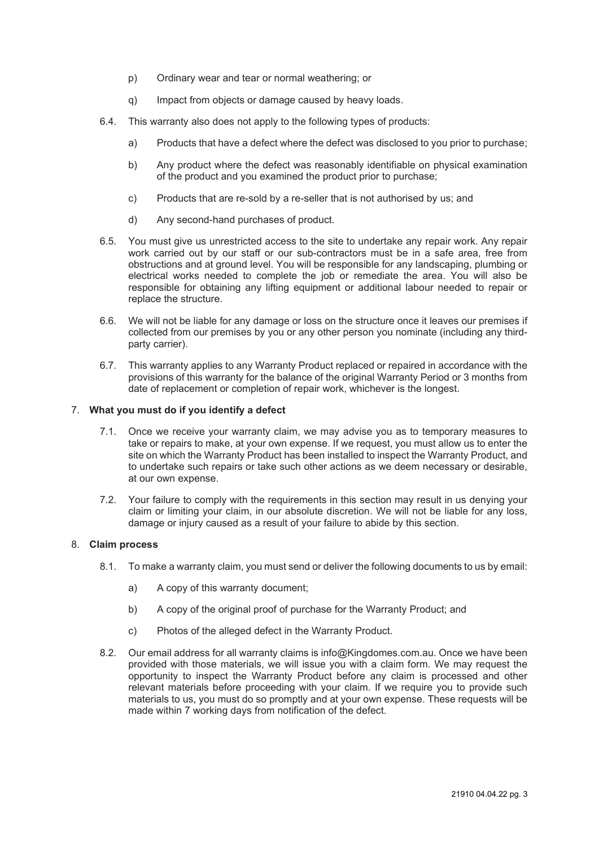- p) Ordinary wear and tear or normal weathering; or
- q) Impact from objects or damage caused by heavy loads.
- 6.4. This warranty also does not apply to the following types of products:
	- a) Products that have a defect where the defect was disclosed to you prior to purchase;
	- b) Any product where the defect was reasonably identifiable on physical examination of the product and you examined the product prior to purchase;
	- c) Products that are re-sold by a re-seller that is not authorised by us; and
	- d) Any second-hand purchases of product.
- 6.5. You must give us unrestricted access to the site to undertake any repair work. Any repair work carried out by our staff or our sub-contractors must be in a safe area, free from obstructions and at ground level. You will be responsible for any landscaping, plumbing or electrical works needed to complete the job or remediate the area. You will also be responsible for obtaining any lifting equipment or additional labour needed to repair or replace the structure.
- 6.6. We will not be liable for any damage or loss on the structure once it leaves our premises if collected from our premises by you or any other person you nominate (including any thirdparty carrier).
- 6.7. This warranty applies to any Warranty Product replaced or repaired in accordance with the provisions of this warranty for the balance of the original Warranty Period or 3 months from date of replacement or completion of repair work, whichever is the longest.

### 7. **What you must do if you identify a defect**

- 7.1. Once we receive your warranty claim, we may advise you as to temporary measures to take or repairs to make, at your own expense. If we request, you must allow us to enter the site on which the Warranty Product has been installed to inspect the Warranty Product, and to undertake such repairs or take such other actions as we deem necessary or desirable, at our own expense.
- 7.2. Your failure to comply with the requirements in this section may result in us denying your claim or limiting your claim, in our absolute discretion. We will not be liable for any loss, damage or injury caused as a result of your failure to abide by this section.

# 8. **Claim process**

- 8.1. To make a warranty claim, you must send or deliver the following documents to us by email:
	- a) A copy of this warranty document;
	- b) A copy of the original proof of purchase for the Warranty Product; and
	- c) Photos of the alleged defect in the Warranty Product.
- 8.2. Our email address for all warranty claims is info@Kingdomes.com.au. Once we have been provided with those materials, we will issue you with a claim form. We may request the opportunity to inspect the Warranty Product before any claim is processed and other relevant materials before proceeding with your claim. If we require you to provide such materials to us, you must do so promptly and at your own expense. These requests will be made within 7 working days from notification of the defect.